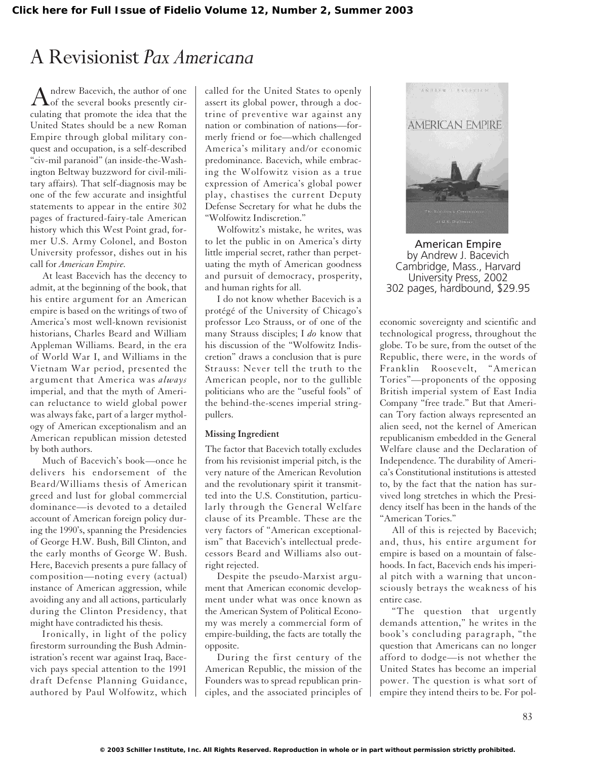## A Revisionist *Pax Americana*

Andrew Bacevich, the author of one<br>of the several books presently circulating that promote the idea that the United States should be a new Roman Empire through global military conquest and occupation, is a self-described "civ-mil paranoid" (an inside-the-Washington Beltway buzzword for civil-military affairs). That self-diagnosis may be one of the few accurate and insightful statements to appear in the entire 302 pages of fractured-fairy-tale American history which this West Point grad, former U.S. Army Colonel, and Boston University professor, dishes out in his call for *American Empire.*

At least Bacevich has the decency to admit, at the beginning of the book, that his entire argument for an American empire is based on the writings of two of America's most well-known revisionist historians, Charles Beard and William Appleman Williams. Beard, in the era of World War I, and Williams in the Vietnam War period, presented the argument that America was *always* imperial, and that the myth of American reluctance to wield global power was always fake, part of a larger mythology of American exceptionalism and an American republican mission detested by both authors.

Much of Bacevich's book—once he delivers his endorsement of the Beard/Williams thesis of American greed and lust for global commercial dominance—is devoted to a detailed account of American foreign policy during the 1990's, spanning the Presidencies of George H.W. Bush, Bill Clinton, and the early months of George W. Bush. Here, Bacevich presents a pure fallacy of composition—noting every (actual) instance of American aggression, while avoiding any and all actions, particularly during the Clinton Presidency, that might have contradicted his thesis.

Ironically, in light of the policy firestorm surrounding the Bush Administration's recent war against Iraq, Bacevich pays special attention to the 1991 draft Defense Planning Guidance, authored by Paul Wolfowitz, which called for the United States to openly assert its global power, through a doctrine of preventive war against any nation or combination of nations—formerly friend or foe—which challenged America's military and/or economic predominance. Bacevich, while embracing the Wolfowitz vision as a true expression of America's global power play, chastises the current Deputy Defense Secretary for what he dubs the "Wolfowitz Indiscretion."

Wolfowitz's mistake, he writes, was to let the public in on America's dirty little imperial secret, rather than perpetuating the myth of American goodness and pursuit of democracy, prosperity, and human rights for all.

I do not know whether Bacevich is a protégé of the University of Chicago's professor Leo Strauss, or of one of the many Strauss disciples; I *do* know that his discussion of the "Wolfowitz Indiscretion" draws a conclusion that is pure Strauss: Never tell the truth to the American people, nor to the gullible politicians who are the "useful fools" of the behind-the-scenes imperial stringpullers.

## **Missing Ingredient**

The factor that Bacevich totally excludes from his revisionist imperial pitch, is the very nature of the American Revolution and the revolutionary spirit it transmitted into the U.S. Constitution, particularly through the General Welfare clause of its Preamble. These are the very factors of "American exceptionalism" that Bacevich's intellectual predecessors Beard and Williams also outright rejected.

Despite the pseudo-Marxist argument that American economic development under what was once known as the American System of Political Economy was merely a commercial form of empire-building, the facts are totally the opposite.

During the first century of the American Republic, the mission of the Founders was to spread republican principles, and the associated principles of



American Empire by Andrew J. Bacevich Cambridge, Mass., Harvard University Press, 2002 302 pages, hardbound, \$29.95

economic sovereignty and scientific and technological progress, throughout the globe. To be sure, from the outset of the Republic, there were, in the words of Franklin Roosevelt, "American Tories"—proponents of the opposing British imperial system of East India Company "free trade." But that American Tory faction always represented an alien seed, not the kernel of American republicanism embedded in the General Welfare clause and the Declaration of Independence. The durability of America's Constitutional institutions is attested to, by the fact that the nation has survived long stretches in which the Presidency itself has been in the hands of the "American Tories."

All of this is rejected by Bacevich; and, thus, his entire argument for empire is based on a mountain of falsehoods. In fact, Bacevich ends his imperial pitch with a warning that unconsciously betrays the weakness of his entire case.

"The question that urgently demands attention," he writes in the book's concluding paragraph, "the question that Americans can no longer afford to dodge—is not whether the United States has become an imperial power. The question is what sort of empire they intend theirs to be. For pol